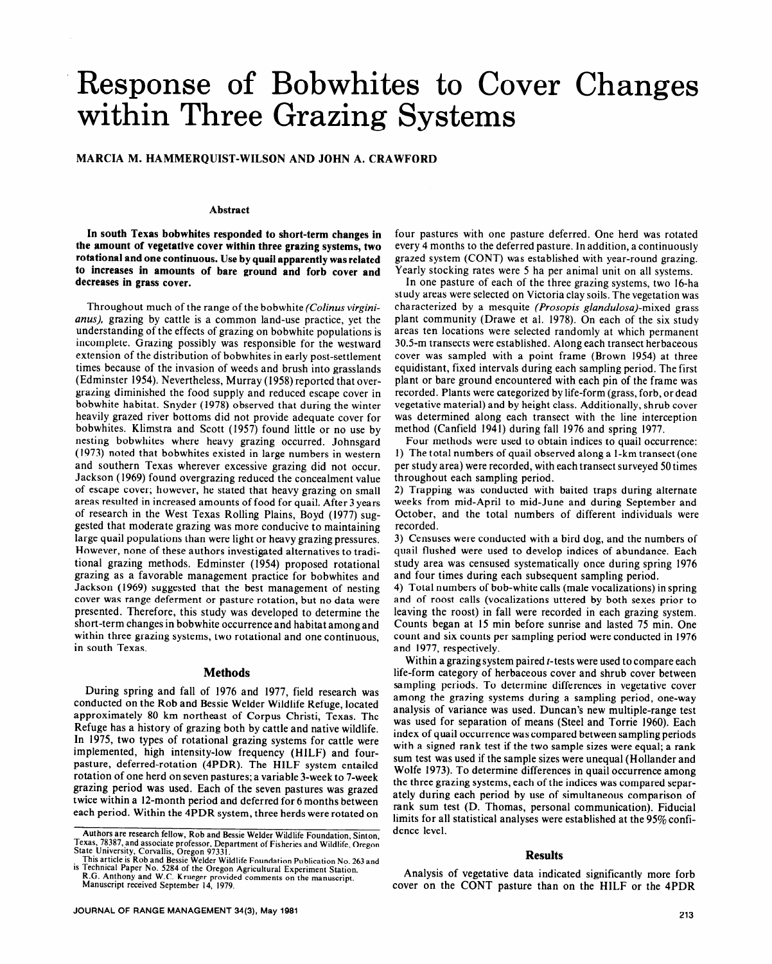# Response of Bobwhites to Cover Changes within Three Grazing Systems

### **MARCIA M. HAMMERQUIST-WILSON AND JOHN A. CRAWFORD**

#### **Abstract**

**In south Texas bobwhites responded to short-term changes in the amount of vegetative cover within three grazing systems, two rotational and one continuous. Use by quail apparently was related to increases in amounts of bare ground and forb cover and decreases in grass cover.** 

Throughout much of the range of the bobwhite *(Colinus virginianus),* grazing by cattle is a common land-use practice, yet the understanding of the effects of grazing on bobwhite populations is incomplete. Grazing possibly was responsible for the westward extension of the distribution of bobwhites in early post-settlement times because of the invasion of weeds and brush into grasslands (Edminster 1954). Nevertheless, Murray (1958) reported that overgrazing diminished the food supply and reduced escape cover in bobwhite habitat. Snyder (1978) observed that during the winter heavily grazed river bottoms did not provide adequate cover for bobwhites. Klimstra and Scott (1957) found little or no use by nesting bobwhites where heavy grazing occurred. Johnsgard (1973) noted that bobwhites existed in large numbers in western and southern Texas wherever excessive grazing did not occur. Jackson (1969) found overgrazing reduced the concealment value of escape cover; however, he stated that heavy grazing on small areas resulted in increased amounts of food for quail. After 3 years of research in the West Texas Rolling Plains, Boyd (1977) suggested that moderate grazing was more conducive to maintaining large quail populations than were light or heavy grazing pressures. However, none of these authors investigated alternatives to traditional grazing methods. Edminster (1954) proposed rotational grazing as a favorable management practice for bobwhites and Jackson (1969) suggested that the best management of nesting cover was range deferment or pasture rotation, but no data were presented. Therefore, this study was developed to determine the short-term changes in bobwhite occurrence and habitat among and within three grazing systems, two rotational and one continuous, in south Texas.

### **Methods**

During spring and fall of 1976 and 1977, field research was conducted on the Rob and Bessie Welder Wildlife Refuge, located approximately 80 km northeast of Corpus Christi, Texas. The Refuge has a history of grazing both by cattle and native wildlife. In 1975, two types of rotational grazing systems for cattle were implemented, high intensity-low frequency (HILF) and fourpasture, deferred-rotation (4PDR). The HILF system entailed rotation of one herd on seven pastures; a variable 3-week to 7-week grazing period was used. Each of the seven pastures was grazed twice within a 12-month period and deferred for 6 months between each period. Within the 4PDR system, three herds were rotated on

four pastures with one pasture deferred. One herd was rotated every 4 months to the deferred pasture. In addition, a continuously grazed system (CONT) was established with year-round grazing. Yearly stocking rates were 5 ha per animal unit on all systems.

In one pasture of each of the three grazing systems, two 16-ha study areas were selected on Victoria clay soils. The vegetation was characterized by a mesquite *(Prosopis glandulosa)-mixed* grass plant community (Drawe et al. 1978). On each of the six study areas ten locations were selected randomly at which permanent 30.5-m transects were established. Along each transect herbaceous cover was sampled with a point frame (Brown 1954) at three equidistant, fixed intervals during each sampling period. The first plant or bare ground encountered with each pin of the frame was recorded. Plants were categorized by life-form (grass, forb, or dead vegetative material) and by height class. Additionally, shrub cover was determined along each transect with the line interception method (Canfield 1941) during fall 1976 and spring 1977.

Four methods were used to obtain indices to quail occurrence: 1) The total numbers of quail observed along a l-km transect (one per study area) were recorded, with each transect surveyed 50 times throughout each sampling period.

2) Trapping was conducted with baited traps during alternate weeks from mid-April to mid-June and during September and October, and the total numbers of different individuals were recorded.

3) Censuses were conducted with a bird dog, and the numbers of quail flushed were used to develop indices of abundance. Each study area was censused systematically once during spring 1976 and four times during each subsequent sampling period.

4) Total numbers of bob-white calls (male vocalizations) in spring and of roost calls (vocalizations uttered by both sexes prior to leaving the roost) in fall were recorded in each grazing system. Counts began at 15 min before sunrise and lasted 75 min. One count and six counts per sampling period were conducted in 1976 and 1977, respectively.

Within a grazing system paired *t*-tests were used to compare each life-form category of herbaceous cover and shrub cover between sampling periods. To determine differences in vegetative cover among the grazing systems during a sampling period, one-way analysis of variance was used. Duncan's new multiple-range test was used for separation of means (Steel and Torrie 1960). Each index of quail occurrence was compared between sampling periods with a signed rank test if the two sample sizes were equal; a rank sum test was used if the sample sizes were unequal (Hollander and Wolfe 1973). To determine differences in quail occurrence among the three grazing systems, each of the indices was compared separately during each period by use of simultaneous comparison of rank sum test (D. Thomas, personal communication). Fiducial limits for all statistical analyses were established at the 95% confidence level.

#### **Results**

Analysis of vegetative data indicated significantly more forb cover on the CONT pasture than on the HILF or the 4PDR

**Authors are** research fellow, Rob and Bessie Welder Wildlife Foundation, Sinton,

Texas, 78387, and associate professor, Department of Fisheries and Wallinfe, Oregon<br>Texas, 78387, and associate professor, Department of Fisheries and Wildlife, Oregon<br>State University, Corvallis, Oregon 97331.<br>This articl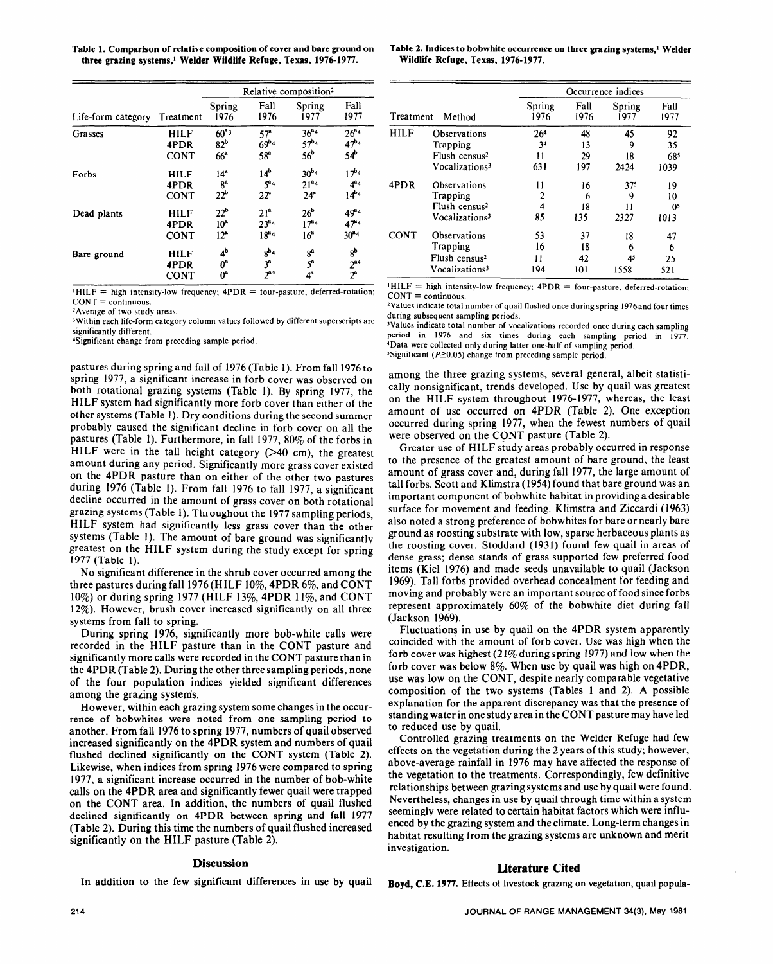**three grazing systems,l Welder Wildlife Refuge, Texas, 1976-1977. Wildlife Refuge, Texas, 1976-1977.** 

|                    | Treatment                          | Relative composition <sup>2</sup>                     |                                                  |                                                  |                                               |                     |                                                                                | Occurrence indices          |                 |                              |                           |
|--------------------|------------------------------------|-------------------------------------------------------|--------------------------------------------------|--------------------------------------------------|-----------------------------------------------|---------------------|--------------------------------------------------------------------------------|-----------------------------|-----------------|------------------------------|---------------------------|
| Life-form category |                                    | Spring<br>1976                                        | Fall<br>1976                                     | Spring<br>1977                                   | Fall<br>1977                                  | Method<br>Treatment |                                                                                | Spring<br>1976              | Fall<br>1976    | Spring<br>1977               | Fall<br>1977              |
| Grasses            | <b>HILF</b><br>4PDR<br><b>CONT</b> | $60^{a_3}$<br>82 <sup>b</sup><br>66 <sup>a</sup>      | 57 <sup>a</sup><br>$69^{b_4}$<br>58 <sup>a</sup> | $36^{a_4}$<br>$57^{b_4}$<br>56 <sup>b</sup>      | $26^{a_4}$<br>$47^{b_4}$<br>$54^{\rm b}$      | <b>HILF</b>         | <b>Observations</b><br>Trapping<br>Flush census <sup>2</sup>                   | 26 <sup>4</sup><br>34<br>11 | 48<br>13<br>29  | 45<br>9<br>18                | 92<br>35<br>68            |
| Forbs              | <b>HILF</b><br>4PDR<br><b>CONT</b> | 14 <sup>a</sup><br>8 <sup>a</sup><br>22 <sup>b</sup>  | 14 <sup>b</sup><br>$5^{a_4}$<br>$22^{\circ}$     | $30^{b_4}$<br>$21^{a_4}$<br>24 <sup>a</sup>      | $17^{b_4}$<br>$4^{\mathrm{a}}4$<br>$14^{b_4}$ | 4PDR                | Vocalizations <sup>3</sup><br>Observations<br>Trapping                         | 631<br>11                   | 197<br>16<br>o  | 2424<br>37 <sup>5</sup><br>9 | 1039<br>19<br>10          |
| Dead plants        | <b>HILF</b><br>4PDR<br><b>CONT</b> | 22 <sup>b</sup><br>10 <sup>a</sup><br>12 <sup>a</sup> | 21 <sup>a</sup><br>$23^{a_4}$<br>$18^{a_4}$      | 26 <sup>b</sup><br>$17^{a_4}$<br>16 <sup>a</sup> | $49^{a_4}$<br>$47^{a_4}$<br>$30^{a_4}$        | <b>CONT</b>         | Flush census <sup>2</sup><br>Vocalizations <sup>3</sup><br><b>Observations</b> | 4<br>85<br>53               | 18<br>135<br>37 | 11<br>2327<br>18             | $0^{\circ}$<br>1013<br>47 |
| Bare ground        | <b>HILF</b><br>4PDR<br><b>CONT</b> | 4 <sup>b</sup><br>$0^a$<br>$0^{\circ}$                | $8^{b_4}$<br>3 <sup>a</sup><br>$2^{a4}$          | 8 <sup>a</sup><br>$5^{\circ}$                    | 8 <sup>b</sup><br>$2^{a4}$<br>2 <sup>a</sup>  |                     | Trapping<br>Flush census <sup>2</sup><br>Vocalizations <sup>3</sup>            | 16<br>11<br>194             | 18<br>42<br>101 | n<br>4 <sup>5</sup><br>1558  | 6<br>25<br>521            |

 $HILF = high intensity-low frequency; 4PDR = four-pasture, deferred-rotation;$  $CONT =$  continuous.

<sup>2</sup>Average of two study areas.

'Within each life-form category column values followed by different superscripts are significantly different.

Significant change from preceding sample period.

pastures during spring and fall of 1976 (Table 1). From fall 1976 to spring 1977, a significant increase in forb cover was observed on both rotational grazing systems (Table 1). By spring 1977, the cally nonsignificant, trends developed. Use by quail was greatest<br>HII E system had significantly more forb cover than either of the on the HILF system througho HILF system had significantly more forb cover than either of the other systems (Table 1). Dry conditions during the second summer probably caused the significant decline in forb cover on all the occurred during spring 1977, when the fewest numbers of quail<br>probably caused the significant decline in forb cover on all the were observed on the CONT past pastures (Table 1). Furthermore, in fall 1977, 80% of the forbs in were observed on the CONT pasture (Table 2).<br>HILE were in the tall height category (240 cm), the greatest Greater use of HILE study areas probably occurred HILF were in the tall height category  $($ >40 cm), the greatest amount during any period. Significantly more grass cover existed to the presence of the greatest amount of bare ground, the least on the 4PDR pasture than on either of the other two pastures amount of grass cover and, during fall 1977, the large amount of during 1976 (Table 1). From fall 1976 to fall 1977, a significant tall forbs. Scott and Klimstra (1954) found that bare ground was an decline occurred in the amount of grass cover on both rotational important component of bobwhite habitat in providing a desirable<br>grazing systems (Table 1). Throughout the 1977 approximation provided surface for movement a grazing systems (Table 1). Throughout the 1977 sampling periods, HILF system had significantly less grass cover than the other also noted a strong preference of bobwhites for bare or nearly bare<br>systems (Table 1). The amount of hare ground use significantly ground as roosting substrate systems (Table 1). The amount of bare ground was significantly greatest on the HILF system during the study except for spring the roosting cover. Stoddard (1931) found few quail in areas of greatest on the HILF system during the study except for spring 1977 (Table 1).

three pastures during fall 1976 (HILF 10%, 4PDR 6%, and CONT 1969). Tall forbs provided overhead concealment for feeding and 10%) or during spring 1977 (HILF 13%, 4PDR 1 l%, and CONT moving and probably were an important source of food since forbs 12%). However, brush cover increased significantly on all three represent approsistems from fall to spring.

recorded in the HILF pasture than in the CONT pasture and coincided with the amount of forb cover. Use was high when the significantly more calls were recorded in the CONT pasture than in forb cover was highest (21% during spring 1977) and low when the significantly more calls were recorded in the CONT pasture than in the 4PDR (Table 2). During the other three sampling periods, none forb cover was below 8%. When use by quail was high on 4PDR, of the four population indices yielded significant differences use was low on the CONT, despite nearly comparable vegetative among the grazing systenis. composition of the two systems (Tables 1 and **2).** A possible

rence of bobwhites were noted from one sampling period to standing water in one study area in the CONT pasture may have led another. From fall 1976 to spring 1977, numbers of quail observed to reduced use by quail. increased significantly on the 4PDR system and numbers of quail Controlled grazing treatments on the Welder Refuge had few flushed declined significantly on the CONT system (Table 2). effects on the vegetation during the 2 years of this study; however, Likewise, when indices from spring 1976 were compared to spring above-average rainfall in 1976 may have affected the response of 1977, a significant increase occurred in the number of bob-white the vegetation to the treatments. Correspondingly, few definitive calls on the 4PDR area and significantly fewer quail were trapped relationships between grazing systems and use by quail were found. on the CONT area. In addition, the numbers of quail flushed Nevertheless, changes in use by quail through time within a system declined significantly on 4PDR between spring and fall 1977 seemingly were related to certain habitat factors which were influ-(Table 2). During this time the numbers of quail flushed increased enced by the grazing system and the climate. Long-term changes in significantly on the HILF pasture (Table 2). habitat resulting from the grazing systems are unknown and merit significantly on the HILF pasture (Table 2).

In addition to the few significant differences in use by quail Boyd, C.E. **1977.** Effects of livestock grazing on vegetation, quail popula-

Table 1. Comparison of relative composition of cover and bare ground on Table 2. Indices to bobwhite occurrence on three grazing systems,<sup>1</sup> Welder

|                     | Relative composition <sup>2</sup>  |                               |                               |                          |             |                            | Occurrence indices |              |                |                |  |
|---------------------|------------------------------------|-------------------------------|-------------------------------|--------------------------|-------------|----------------------------|--------------------|--------------|----------------|----------------|--|
| reatment            | Spring<br>1976                     | Fall<br>1976                  | Spring<br>1977                | Fall<br>1977             | Treatment   | Method                     | Spring<br>1976     | Fall<br>1976 | Spring<br>1977 | Fall<br>1977   |  |
| <b>HILF</b>         | $60^{a_3}$                         | 57 <sup>a</sup>               | $36^{a_4}$                    | $26^{a_4}$               | <b>HILF</b> | <b>Observations</b>        | 26 <sup>4</sup>    | 48           | 45             | 92             |  |
| 4PDR                | 82 <sup>b</sup>                    | $69^{b_4}$                    | $57^{b_4}$                    | $47^{b_4}$               |             | Trapping                   | 34                 | 13           | 9              | 35             |  |
| CONT                | 66 <sup>a</sup>                    | 58 <sup>a</sup>               | 56 <sup>b</sup>               | 54 <sup>b</sup>          |             | Flush census <sup>2</sup>  | 11                 | 29           | 18             | 685            |  |
| <b>HILF</b>         | 14 <sup>a</sup>                    | 14 <sup>b</sup>               | $30^{b_4}$                    | $17^{b_4}$               |             | Vocalizations <sup>3</sup> | 631                | 197          | 2424           | 1039           |  |
| 4PDR                | 8 <sup>a</sup>                     | $5^{a_4}$                     | 21 <sup>a</sup> 4             | $4^{\mathbf{a}_4}$       | 4PDR        | <b>Observations</b>        | 11                 | 16           | 375            | 19             |  |
| CONT                | 22 <sup>b</sup>                    | $22^{\circ}$                  | 24 <sup>a</sup>               | $14^{b_4}$               |             | Trapping                   |                    | 6            | 9              | 10             |  |
|                     |                                    |                               |                               |                          |             | Flush census <sup>2</sup>  | 4                  | 18           | 11             | 0 <sup>5</sup> |  |
| <b>HILF</b><br>4PDR | 22 <sup>b</sup><br>10 <sup>a</sup> | 21 <sup>a</sup><br>$23^{a_4}$ | 26 <sup>b</sup><br>$17^{a_4}$ | $49^{a_4}$<br>$47^{a_4}$ |             | Vocalizations <sup>3</sup> | 85                 | 135          | 2327           | 1013           |  |
| CONT                | 12 <sup>a</sup>                    | $18^{a_4}$                    | 16 <sup>a</sup>               | $30^{a_4}$               | <b>CONT</b> | Observations               | 53                 | 37           | 18             | 47             |  |
| <b>HILF</b>         | 4 <sup>b</sup>                     | $8^{b_4}$                     | 8 <sup>a</sup>                | $8^{\rm b}$              |             | Trapping                   | 16                 | 18           | 6              | 6              |  |
|                     | $0^a$                              | 3 <sup>a</sup>                | $5^{\mathrm{a}}$              |                          |             | Flush census <sup>2</sup>  | $\mathbf{11}$      | 42           | 4 <sup>5</sup> | 25             |  |
| 4PDR                |                                    | 7 <sup>24</sup>               |                               | $2^{a4}$                 |             | Vocalizations <sup>3</sup> | 194                | 101          | 1558           | 521            |  |
| CONT                | በ*                                 |                               | $\mathbf{A}^{\mathbf{a}}$     | $\mathcal{P}$            |             |                            |                    |              |                |                |  |

 $HILF = high intensity-low frequency; 4PDR = four-pasture, 4eferred-rotation;$  $CONT = continuous$ .

<sup>2</sup>Values indicate total number of quail flushed once during spring 1976 and four times during subsequent sampling periods.

<sup>3</sup>Values indicate total number of vocalizations recorded once during each sampling period in 1976 and six times during each sampling period in 1977. 4Data were collected only during latter one-half of sampling period. <sup>5</sup>Significant ( $P \ge 0.05$ ) change from preceding sample period.

among the three grazing systems, several general, albeit statistiamount of use occurred on 4PDR (Table 2). One exception

No significant difference in the shrub cover occurred among the items (Kiel 1976) and made seeds unavailable to quail (Jackson represent approximately  $60\%$  of the bobwhite diet during fall

During spring 1976, significantly more bob-white calls were Fluctuations in use by quail on the 4PDR system apparently However, within each grazing system some changes in the occur-<br>
explanation for the apparent discrepancy was that the presence of

investigation.

## **Discussion Literature Cited**